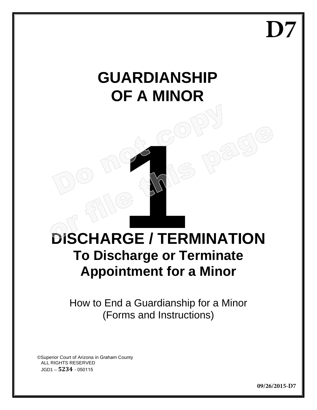**D7**

# **GUARDIANSHIP OF A MINOR**

# **DISCHARGE / TERMINATION To Discharge or Terminate Appointment for a Minor**

How to End a Guardianship for a Minor (Forms and Instructions)

©Superior Court of Arizona in Graham County ALL RIGHTS RESERVED JGD1 – **5234** - 050115

**09/26/2015-D7**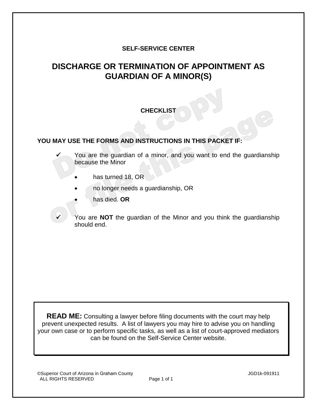## **SELF-SERVICE CENTER**

# **DISCHARGE OR TERMINATION OF APPOINTMENT AS GUARDIAN OF A MINOR(S)**

#### **CHECKLIST**

#### **YOU MAY USE THE FORMS AND INSTRUCTIONS IN THIS PACKET IF:**

 You are the guardian of a minor, and you want to end the guardianship because the Minor

- has turned 18, OR
- no longer needs a guardianship, OR
- has died. **OR**

 You are **NOT** the guardian of the Minor and you think the guardianship should end.

**READ ME:** Consulting a lawyer before filing documents with the court may help prevent unexpected results. A list of lawyers you may hire to advise you on handling your own case or to perform specific tasks, as well as a list of court-approved mediators can be found on the Self-Service Center website.

©Superior Court of Arizona in Graham County JGD1k-091911 ALL RIGHTS RESERVED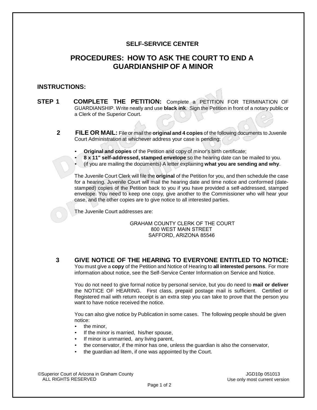#### **SELF-SERVICE CENTER**

# **PROCEDURES: HOW TO ASK THE COURT TO END A GUARDIANSHIP OF A MINOR**

#### **INSTRUCTIONS:**

- **STEP 1 COMPLETE THE PETITION:** Complete a PETITION FOR TERMINATION OF GUARDIANSHIP. Write neatly and use **black ink**. Sign the Petition in front of a notary public or a Clerk of the Superior Court.
	- **2 FILE OR MAIL:** File or mail the **original and 4 copies** of the following documents to Juvenile Court Administration at whichever address your case is pending:
		- **Original and copies** of the Petition and copy of minor's birth certificate;
		- **8 x 11" self-addressed, stamped envelope** so the hearing date can be mailed to you.
		- (if you are mailing the documents) A letter explaining **what you are sending and why**.

The Juvenile Court Clerk will file the **original** of the Petition for you, and then schedule the case for a hearing. Juvenile Court will mail the hearing date and time notice and conformed (datestamped) copies of the Petition back to you if you have provided a self-addressed, stamped envelope. You need to keep one copy, give another to the Commissioner who will hear your case, and the other copies are to give notice to all interested parties.

The Juvenile Court addresses are:

#### GRAHAM COUNTY CLERK OF THE COURT 800 WEST MAIN STREET SAFFORD, ARIZONA 85546

**3 GIVE NOTICE OF THE HEARING TO EVERYONE ENTITLED TO NOTICE:** 

You must give a **copy** of the Petition and Notice of Hearing to **all interested persons**. For more information about notice, see the Self-Service Center Information on Service and Notice.

You do not need to give formal notice by personal service, but you do need to **mail or deliver**  the NOTICE OF HEARING. First class, prepaid postage mail is sufficient. Certified or Registered mail with return receipt is an extra step you can take to prove that the person you want to have notice received the notice.

You can also give notice by Publication in some cases. The following people should be given notice:

- the minor.
- If the minor is married, his/her spouse,
- If minor is unmarried, any living parent,
- the conservator, if the minor has one, unless the guardian is also the conservator,
- the guardian ad litem, if one was appointed by the Court.

©Superior Court of Arizona in Graham County JGD10p 051013

Use only most current version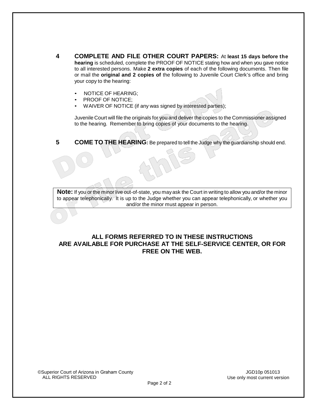- **4 COMPLETE AND FILE OTHER COURT PAPERS:** At **least 15 days before the hearing** is scheduled, complete the PROOF OF NOTICE stating how and when you gave notice to all interested persons. Make **2 extra copies** of each of the following documents. Then file or mail the **original and 2 copies of** the following to Juvenile Court Clerk's office and bring your copy to the hearing:
	- NOTICE OF HEARING;
	- PROOF OF NOTICE;
	- WAIVER OF NOTICE (if any was signed by interested parties);

Juvenile Court will file the originals for you and deliver the copies to the Commissioner assigned to the hearing. Remember to bring copies of your documents to the hearing.

**5** COME TO THE HEARING: Be prepared to tell the Judge why the guardianship should end.

**Note:** If you or the minor live out-of-state, you may ask the Court in writing to allow you and/or the minor to appear telephonically. It is up to the Judge whether you can appear telephonically, or whether you and/or the minor must appear in person.

#### **ALL FORMS REFERRED TO IN THESE INSTRUCTIONS ARE AVAILABLE FOR PURCHASE AT THE SELF-SERVICE CENTER, OR FOR FREE ON THE WEB.**

©Superior Court of Arizona in Graham County JGD10p 051013

Use only most current version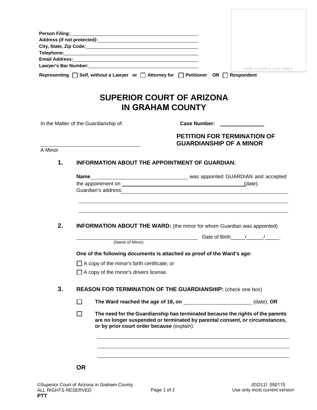| Address (if not protected): And the state of the state of the state of the state of the state of the state of the state of the state of the state of the state of the state of the state of the state of the state of the stat<br>Lawyer's Bar Number: Management and Contract and Contract of the Contract of the Contract of the Contract of the Contract of the Contract of the Contract of the Contract of the Contract of the Contract of the Contract of t<br><b>FOR CLERK'S USE ONLY</b><br>Representing □ Self, without a Lawyer or □ Attorney for □ Petitioner OR □ Respondent<br><b>SUPERIOR COURT OF ARIZONA</b><br><b>IN GRAHAM COUNTY</b><br>In the Matter of the Guardianship of:<br>Case Number: _________________<br><b>PETITION FOR TERMINATION OF</b><br><b>GUARDIANSHIP OF A MINOR</b><br>A Minor<br>1.<br><b>INFORMATION ABOUT THE APPOINTMENT OF GUARDIAN:</b><br>2.<br><b>INFORMATION ABOUT THE WARD:</b> (the minor for whom Guardian was appointed)<br>Date of Birth $1/2$<br>(Name of Minor)<br>One of the following documents is attached as proof of the Ward's age:<br>$\Box$ A copy of the minor's birth certificate; or<br>$\Box$ A copy of the minor's drivers license.<br>3.<br><b>REASON FOR TERMINATION OF THE GUARDIANSHIP:</b> (check one box)<br>$\Box$<br>The Ward reached the age of 18, on __________________________(date); OR<br>П<br>The need for the Guardianship has terminated because the rights of the parents<br>are no longer suspended or terminated by parental consent, or circumstances,<br>or by prior court order because (explain):<br><b>OR</b> |  |  |  |  |  |
|-----------------------------------------------------------------------------------------------------------------------------------------------------------------------------------------------------------------------------------------------------------------------------------------------------------------------------------------------------------------------------------------------------------------------------------------------------------------------------------------------------------------------------------------------------------------------------------------------------------------------------------------------------------------------------------------------------------------------------------------------------------------------------------------------------------------------------------------------------------------------------------------------------------------------------------------------------------------------------------------------------------------------------------------------------------------------------------------------------------------------------------------------------------------------------------------------------------------------------------------------------------------------------------------------------------------------------------------------------------------------------------------------------------------------------------------------------------------------------------------------------------------------------------------------------------------------------------------------------------|--|--|--|--|--|
|                                                                                                                                                                                                                                                                                                                                                                                                                                                                                                                                                                                                                                                                                                                                                                                                                                                                                                                                                                                                                                                                                                                                                                                                                                                                                                                                                                                                                                                                                                                                                                                                           |  |  |  |  |  |
|                                                                                                                                                                                                                                                                                                                                                                                                                                                                                                                                                                                                                                                                                                                                                                                                                                                                                                                                                                                                                                                                                                                                                                                                                                                                                                                                                                                                                                                                                                                                                                                                           |  |  |  |  |  |
|                                                                                                                                                                                                                                                                                                                                                                                                                                                                                                                                                                                                                                                                                                                                                                                                                                                                                                                                                                                                                                                                                                                                                                                                                                                                                                                                                                                                                                                                                                                                                                                                           |  |  |  |  |  |
|                                                                                                                                                                                                                                                                                                                                                                                                                                                                                                                                                                                                                                                                                                                                                                                                                                                                                                                                                                                                                                                                                                                                                                                                                                                                                                                                                                                                                                                                                                                                                                                                           |  |  |  |  |  |
|                                                                                                                                                                                                                                                                                                                                                                                                                                                                                                                                                                                                                                                                                                                                                                                                                                                                                                                                                                                                                                                                                                                                                                                                                                                                                                                                                                                                                                                                                                                                                                                                           |  |  |  |  |  |
|                                                                                                                                                                                                                                                                                                                                                                                                                                                                                                                                                                                                                                                                                                                                                                                                                                                                                                                                                                                                                                                                                                                                                                                                                                                                                                                                                                                                                                                                                                                                                                                                           |  |  |  |  |  |
|                                                                                                                                                                                                                                                                                                                                                                                                                                                                                                                                                                                                                                                                                                                                                                                                                                                                                                                                                                                                                                                                                                                                                                                                                                                                                                                                                                                                                                                                                                                                                                                                           |  |  |  |  |  |
|                                                                                                                                                                                                                                                                                                                                                                                                                                                                                                                                                                                                                                                                                                                                                                                                                                                                                                                                                                                                                                                                                                                                                                                                                                                                                                                                                                                                                                                                                                                                                                                                           |  |  |  |  |  |
|                                                                                                                                                                                                                                                                                                                                                                                                                                                                                                                                                                                                                                                                                                                                                                                                                                                                                                                                                                                                                                                                                                                                                                                                                                                                                                                                                                                                                                                                                                                                                                                                           |  |  |  |  |  |
|                                                                                                                                                                                                                                                                                                                                                                                                                                                                                                                                                                                                                                                                                                                                                                                                                                                                                                                                                                                                                                                                                                                                                                                                                                                                                                                                                                                                                                                                                                                                                                                                           |  |  |  |  |  |
|                                                                                                                                                                                                                                                                                                                                                                                                                                                                                                                                                                                                                                                                                                                                                                                                                                                                                                                                                                                                                                                                                                                                                                                                                                                                                                                                                                                                                                                                                                                                                                                                           |  |  |  |  |  |
|                                                                                                                                                                                                                                                                                                                                                                                                                                                                                                                                                                                                                                                                                                                                                                                                                                                                                                                                                                                                                                                                                                                                                                                                                                                                                                                                                                                                                                                                                                                                                                                                           |  |  |  |  |  |
|                                                                                                                                                                                                                                                                                                                                                                                                                                                                                                                                                                                                                                                                                                                                                                                                                                                                                                                                                                                                                                                                                                                                                                                                                                                                                                                                                                                                                                                                                                                                                                                                           |  |  |  |  |  |
|                                                                                                                                                                                                                                                                                                                                                                                                                                                                                                                                                                                                                                                                                                                                                                                                                                                                                                                                                                                                                                                                                                                                                                                                                                                                                                                                                                                                                                                                                                                                                                                                           |  |  |  |  |  |
|                                                                                                                                                                                                                                                                                                                                                                                                                                                                                                                                                                                                                                                                                                                                                                                                                                                                                                                                                                                                                                                                                                                                                                                                                                                                                                                                                                                                                                                                                                                                                                                                           |  |  |  |  |  |
|                                                                                                                                                                                                                                                                                                                                                                                                                                                                                                                                                                                                                                                                                                                                                                                                                                                                                                                                                                                                                                                                                                                                                                                                                                                                                                                                                                                                                                                                                                                                                                                                           |  |  |  |  |  |
|                                                                                                                                                                                                                                                                                                                                                                                                                                                                                                                                                                                                                                                                                                                                                                                                                                                                                                                                                                                                                                                                                                                                                                                                                                                                                                                                                                                                                                                                                                                                                                                                           |  |  |  |  |  |
|                                                                                                                                                                                                                                                                                                                                                                                                                                                                                                                                                                                                                                                                                                                                                                                                                                                                                                                                                                                                                                                                                                                                                                                                                                                                                                                                                                                                                                                                                                                                                                                                           |  |  |  |  |  |
|                                                                                                                                                                                                                                                                                                                                                                                                                                                                                                                                                                                                                                                                                                                                                                                                                                                                                                                                                                                                                                                                                                                                                                                                                                                                                                                                                                                                                                                                                                                                                                                                           |  |  |  |  |  |
|                                                                                                                                                                                                                                                                                                                                                                                                                                                                                                                                                                                                                                                                                                                                                                                                                                                                                                                                                                                                                                                                                                                                                                                                                                                                                                                                                                                                                                                                                                                                                                                                           |  |  |  |  |  |
|                                                                                                                                                                                                                                                                                                                                                                                                                                                                                                                                                                                                                                                                                                                                                                                                                                                                                                                                                                                                                                                                                                                                                                                                                                                                                                                                                                                                                                                                                                                                                                                                           |  |  |  |  |  |
|                                                                                                                                                                                                                                                                                                                                                                                                                                                                                                                                                                                                                                                                                                                                                                                                                                                                                                                                                                                                                                                                                                                                                                                                                                                                                                                                                                                                                                                                                                                                                                                                           |  |  |  |  |  |
|                                                                                                                                                                                                                                                                                                                                                                                                                                                                                                                                                                                                                                                                                                                                                                                                                                                                                                                                                                                                                                                                                                                                                                                                                                                                                                                                                                                                                                                                                                                                                                                                           |  |  |  |  |  |
|                                                                                                                                                                                                                                                                                                                                                                                                                                                                                                                                                                                                                                                                                                                                                                                                                                                                                                                                                                                                                                                                                                                                                                                                                                                                                                                                                                                                                                                                                                                                                                                                           |  |  |  |  |  |
|                                                                                                                                                                                                                                                                                                                                                                                                                                                                                                                                                                                                                                                                                                                                                                                                                                                                                                                                                                                                                                                                                                                                                                                                                                                                                                                                                                                                                                                                                                                                                                                                           |  |  |  |  |  |
|                                                                                                                                                                                                                                                                                                                                                                                                                                                                                                                                                                                                                                                                                                                                                                                                                                                                                                                                                                                                                                                                                                                                                                                                                                                                                                                                                                                                                                                                                                                                                                                                           |  |  |  |  |  |
|                                                                                                                                                                                                                                                                                                                                                                                                                                                                                                                                                                                                                                                                                                                                                                                                                                                                                                                                                                                                                                                                                                                                                                                                                                                                                                                                                                                                                                                                                                                                                                                                           |  |  |  |  |  |
|                                                                                                                                                                                                                                                                                                                                                                                                                                                                                                                                                                                                                                                                                                                                                                                                                                                                                                                                                                                                                                                                                                                                                                                                                                                                                                                                                                                                                                                                                                                                                                                                           |  |  |  |  |  |
|                                                                                                                                                                                                                                                                                                                                                                                                                                                                                                                                                                                                                                                                                                                                                                                                                                                                                                                                                                                                                                                                                                                                                                                                                                                                                                                                                                                                                                                                                                                                                                                                           |  |  |  |  |  |
|                                                                                                                                                                                                                                                                                                                                                                                                                                                                                                                                                                                                                                                                                                                                                                                                                                                                                                                                                                                                                                                                                                                                                                                                                                                                                                                                                                                                                                                                                                                                                                                                           |  |  |  |  |  |
|                                                                                                                                                                                                                                                                                                                                                                                                                                                                                                                                                                                                                                                                                                                                                                                                                                                                                                                                                                                                                                                                                                                                                                                                                                                                                                                                                                                                                                                                                                                                                                                                           |  |  |  |  |  |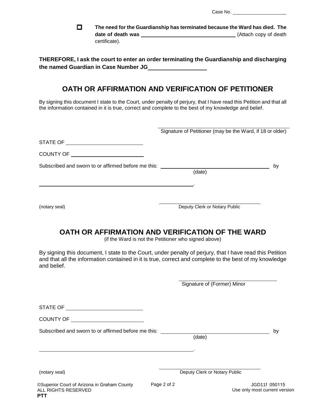$\Box$ **The need for the Guardianship has terminated because the Ward has died. The**  date of death was **the contract of death was** (Attach copy of death certificate).

**THEREFORE, I ask the court to enter an order terminating the Guardianship and discharging the named Guardian in Case Number JG**

# **OATH OR AFFIRMATION AND VERIFICATION OF PETITIONER**

By signing this document I state to the Court, under penalty of perjury, that I have read this Petition and that all the information contained in it is true, correct and complete to the best of my knowledge and belief.

|                                                     | Signature of Petitioner (may be the Ward, if 18 or older) |    |
|-----------------------------------------------------|-----------------------------------------------------------|----|
|                                                     |                                                           |    |
| <b>COUNTY OF</b>                                    |                                                           |    |
| Subscribed and sworn to or affirmed before me this: | (date)                                                    | by |
| (notary seal)                                       | Deputy Clerk or Notary Public                             |    |

## **OATH OR AFFIRMATION AND VERIFICATION OF THE WARD**

(if the Ward is not the Petitioner who signed above)

By signing this document, I state to the Court, under penalty of perjury, that I have read this Petition and that all the information contained in it is true, correct and complete to the best of my knowledge and belief.

Signature of (Former) Minor

|                                                                           |             | $\frac{1}{2}$                 |                                                |
|---------------------------------------------------------------------------|-------------|-------------------------------|------------------------------------------------|
| STATE OF                                                                  |             |                               |                                                |
| <b>COUNTY OF</b>                                                          |             |                               |                                                |
| Subscribed and sworn to or affirmed before me this:                       |             | (date)                        | by                                             |
|                                                                           |             |                               |                                                |
| (notary seal)                                                             |             | Deputy Clerk or Notary Public |                                                |
| <b>CSuperior Court of Arizona in Graham County</b><br>ALL RIGHTS RESERVED | Page 2 of 2 |                               | JGD11f 050115<br>Use only most current version |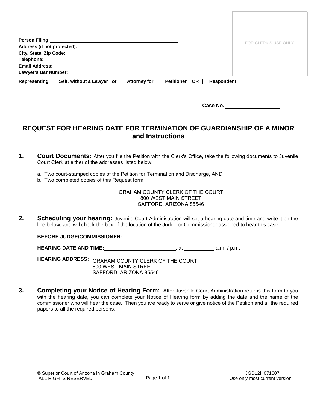| Person Filing: New York State State State State State State State State State State State State State State St                                                                                                                 | FOR CLERK'S USE ONLY |
|--------------------------------------------------------------------------------------------------------------------------------------------------------------------------------------------------------------------------------|----------------------|
| Address (if not protected): Notified and the set of the set of the set of the set of the set of the set of the set of the set of the set of the set of the set of the set of the set of the set of the set of the set of the s |                      |
|                                                                                                                                                                                                                                |                      |
|                                                                                                                                                                                                                                |                      |
|                                                                                                                                                                                                                                |                      |
| Lawyer's Bar Number: University of the University of the University of the University of the University of the                                                                                                                 |                      |
| Representing $\Box$ Self, without a Lawyer or $\Box$ Attorney for $\Box$ Petitioner OR $\Box$ Respondent                                                                                                                       |                      |

 **Case No.** 

# **REQUEST FOR HEARING DATE FOR TERMINATION OF GUARDIANSHIP OF A MINOR and Instructions**

- **1. Court Documents:** After you file the Petition with the Clerk's Office, take the following documents to Juvenile Court Clerk at either of the addresses listed below:
	- a. Two court-stamped copies of the Petition for Termination and Discharge, AND
	- b. Two completed copies of this Request form

#### GRAHAM COUNTY CLERK OF THE COURT 800 WEST MAIN STREET SAFFORD, ARIZONA 85546

**2. Scheduling your hearing:** Juvenile Court Administration will set a hearing date and time and write it on the line below, and will check the box of the location of the Judge or Commissioner assigned to hear this case.

#### **BEFORE JUDGE/COMMISSIONER:**

**HEARING DATE AND TIME:**  $\begin{array}{ccc} \hline \text{H} & \text{H} & \text{H} \\ \hline \end{array}$  a.m. / p.m.

**HEARING ADDRESS:** GRAHAM COUNTY CLERK OF THE COURT 800 WEST MAIN STREET SAFFORD, ARIZONA 85546

**3. Completing your Notice of Hearing Form:** After Juvenile Court Administration returns this form to you with the hearing date, you can complete your Notice of Hearing form by adding the date and the name of the commissioner who will hear the case. Then you are ready to serve or give notice of the Petition and all the required papers to all the required persons.